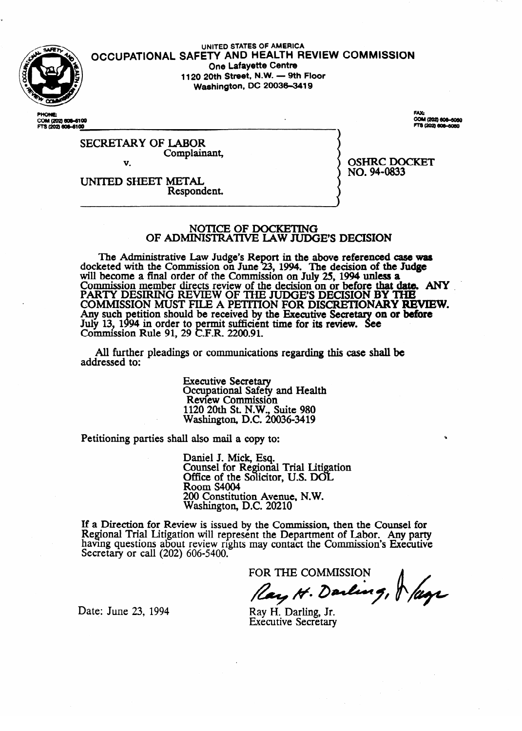

.

### UNITED STATES OF AMERICA **OCCUPATIONAL SAFETY AND HEALTH REVIEW COMMISSION One Lafayette Centre 1120 20th Street, N.W. - 9th Floor Washington, DC 20036-3419**

COM (202) 606-6100<br>FTS (202) 606-6100

FAX: COM (202) 606-6060 3 (202) 606-6060

#### SECRETARY OF LABOR Complainant, v.

UNITED SHEET METAL Respondent. OSHRC DOCKET **NO.** W-0833

NOTICE OF DOCKETING

OF ADMINISTRATKVE LAW JUDGE'S DECISION

The Administrative Law Judge's Report in the above referenced case was<br>keted with the Commission on June 23, 1994. The decision of the Judge docketed with the Commission on June 25, 1994. The decision of the Judge<br>will become a final order of the Commission on July 25, 1994 unless a will become a final order of the Commission on **July 25, 1994 unless a**<br>Commission member directs review of the decision on or before that d Commission member directs review of the decision on or before that date. ANY 1 PARTY DESIRING REVIEW OF THE JODGE 5 DECISION BY THE COMMISSION MOST FILE A PETITION FOR DISCRETIONARY REFVIEW. Any such person should be received by the Executive Secretion.  $Commission Rule 91, 29$ on or belore  $\overline{\phantom{a}}$  $E.F.R. 2200.91.$  $\ddot{\phantom{0}}$  $\ddot{\phantom{0}}$  $\ldots$   $\ldots$ 

All further pleadings or communications regarding this case shall be addressed to: addressed to:

> **Executive Secretary<br>Occupational Safety and Health** Review Commission 120 20th St. N.W., S Washington, D.C. 20036-3419 Washington, D.C. 20036-3419

Petitioning parties shall also mail a copy to:

Daniel J. Mick, Esq. Office of the Solicitor, U.S. DOL Room S4004 200 Constitut Washington, D.C. 20210

If a Direction for Review is issued by the Commission, then the Counsel for Regional Trial Litigation will represent the Department of Labor. Any party having questions about review rights may contact the Commission's Executive Secretary or call  $(202)$  606-5400.

FOR THE COMMISSION

Ray H. Darling, & lage

Date: June 23, 1994

Ray H. Darling, Jr. Executive Secretary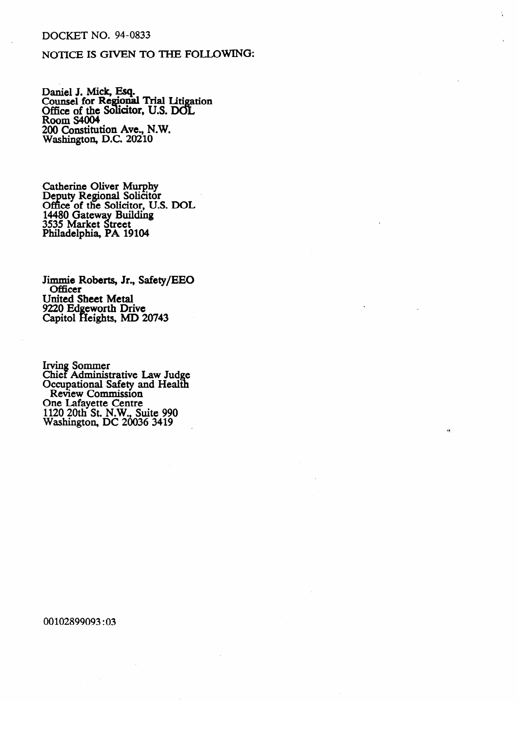## **DOCKET NO. 94-0833**

# NOTICE IS GIVEN TO THE FOLLOWING:

Daniel J. Mick, Esq.<br>Counsel for Regional Trial Litigation<br>Office of the Solicitor, U.S. DOL<br>Room S4004<br>200 Constitution Ave., N.W. Washington, D.C. 20210

Catherine Oliver Murphy<br>Deputy Regional Solicitor<br>Office of the Solicitor, U.S. DOL 14480 Gateway Building<br>3535 Market Street<br>Philadelphia, PA 19104

Jimmie Roberts, Jr., Safety/EEO Officer **United Sheet Metal** 9220 Edgeworth Drive Capitol Heights, MD 20743

Irving Sommer<br>Chief Administrative Law Judge<br>Occupational Safety and Health<br>Review Commission<br>One Lafayette Centre<br>1120 20th St. N.W., Suite 990<br>Washington, DC 20036 3419

00102899093:03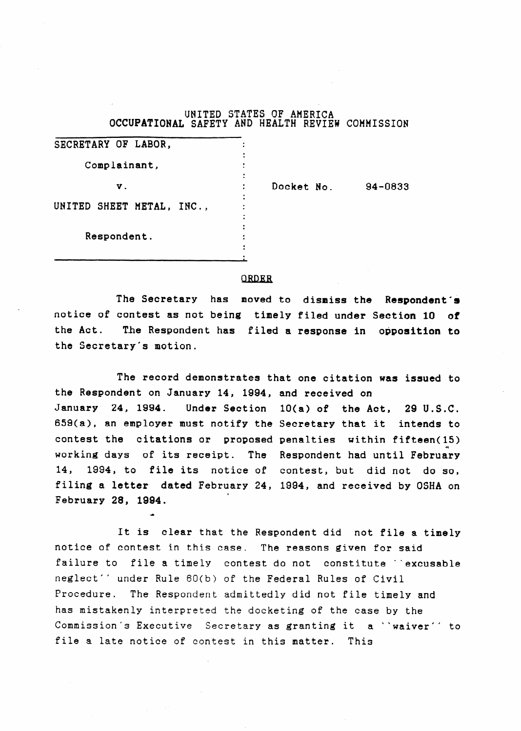UNITED STATES OF AMERICA OCCUPATIONAL SAFETY AND HEALTH REVIEW COMMISSION

| SECRETARY OF LABOR,       |            |         |
|---------------------------|------------|---------|
| Complainant,              |            |         |
| ν.                        | Docket No. | 94-0833 |
| UNITED SHEET METAL, INC., |            |         |
| Respondent.               |            |         |
|                           |            |         |

#### **ORDER**

The Secretary has moved to dismiss the Respondent'& notice of contest as not being timely filed under Section 10 of the Act. The Respondent has filed a response in opposition to the Secretary's motion.

The record demonstrates that one citation was issued to the Respondent on January 14, 1884, and received on January 24, 1884. Under Section 10(a) of the Act, 29 U.S.C. 659(a), an employer must notify the Secretary that it intends to contest the citations or proposed penalties within fifteen(15) working days of its receipt. The Respondent had until February 14, 1994, to file its notice of contest, but did not do so, filing a letter dated February 24, 1984, and received by OSHA on . February 28, 1994.

It is clear that the Respondent did not file a timely notice of contest in this case. The reasons given for said failure to file a timely contest do not constitute 'excusable neglect' ' under Rule 60(b) of the Federal Rules of Civil Procedure. The Respondent admittedly did not file timely and has mistakenly interpreted the docketing of the case by the Commission's Executive Secretary as granting it a "waiver" to file a late notice of contest in this matter. This